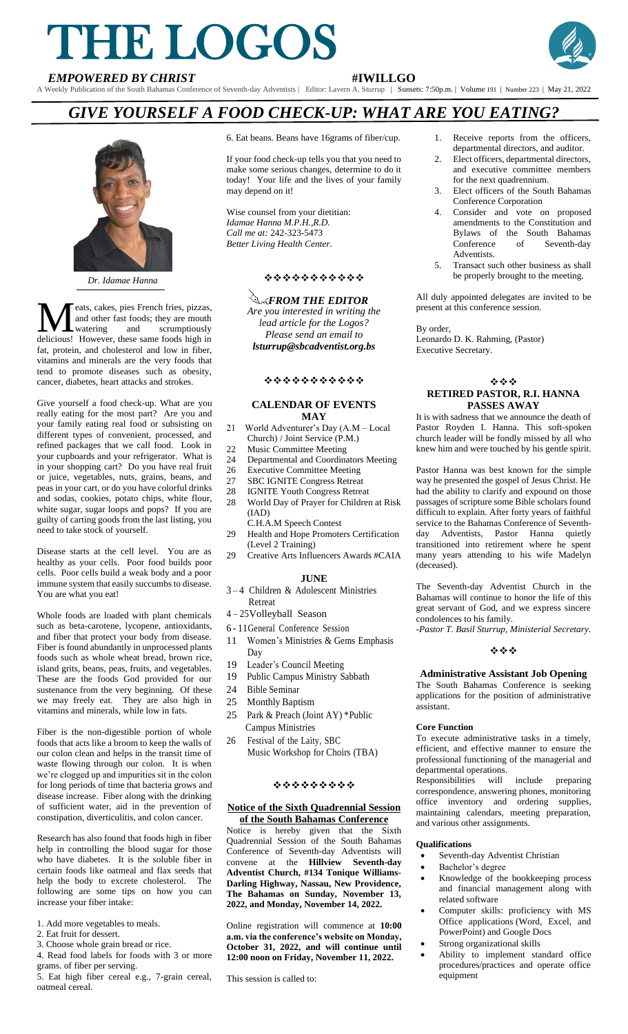# THE LOGOS **EMPOWERED BY CHRIST**<br> **EMPOWERED BY CHRIST**<br> **EMPOWERED BY CHRIST**<br> **EMPOWERED BY CHRIST**



A Weekly Publication of the South Bahamas Conference of Seventh-day Adventists | Editor: Lavern A. Sturrup | Sunsets: 7:50p.m. | Volume 191 | Number 223 | May 21, 2022

# *GIVE YOURSELF A FOOD CHECK-UP: WHAT ARE YOU EATING?*



*Dr. Idamae Hanna*

eats, cakes, pies French fries, pizzas, and other fast foods; they are mouth<br>watering and scrumptiously and scrumptiously **M** eats, cakes, pies French fries, pizzas,<br>and other fast foods; they are mouth<br>delicious! However, these same foods high in fat, protein, and cholesterol and low in fiber, vitamins and minerals are the very foods that tend to promote diseases such as obesity, cancer, diabetes, heart attacks and strokes.

Give yourself a food check-up. What are you really eating for the most part? Are you and your family eating real food or subsisting on different types of convenient, processed, and refined packages that we call food. Look in your cupboards and your refrigerator. What is in your shopping cart? Do you have real fruit or juice, vegetables, nuts, grains, beans, and peas in your cart, or do you have colorful drinks and sodas, cookies, potato chips, white flour, white sugar, sugar loops and pops? If you are guilty of carting goods from the last listing, you need to take stock of yourself.

Disease starts at the cell level. You are as healthy as your cells. Poor food builds poor cells. Poor cells build a weak body and a poor immune system that easily succumbs to disease. You are what you eat!

Whole foods are loaded with plant chemicals such as beta-carotene, lycopene, antioxidants, and fiber that protect your body from disease. Fiber is found abundantly in unprocessed plants foods such as whole wheat bread, brown rice, island grits, beans, peas, fruits, and vegetables. These are the foods God provided for our sustenance from the very beginning. Of these we may freely eat. They are also high in vitamins and minerals, while low in fats.

Fiber is the non-digestible portion of whole foods that acts like a broom to keep the walls of our colon clean and helps in the transit time of waste flowing through our colon. It is when we're clogged up and impurities sit in the colon for long periods of time that bacteria grows and disease increase. Fiber along with the drinking of sufficient water, aid in the prevention of constipation, diverticulitis, and colon cancer.

Research has also found that foods high in fiber help in controlling the blood sugar for those who have diabetes. It is the soluble fiber in certain foods like oatmeal and flax seeds that help the body to excrete cholesterol. The following are some tips on how you can increase your fiber intake:

- 1. Add more vegetables to meals.
- 2. Eat fruit for dessert.
- 3. Choose whole grain bread or rice. 4. Read food labels for foods with 3 or more
- grams. of fiber per serving.
- 5. Eat high fiber cereal e.g., 7-grain cereal, oatmeal cereal.

6. Eat beans. Beans have 16grams of fiber/cup.

If your food check-up tells you that you need to make some serious changes, determine to do it today! Your life and the lives of your family may depend on it!

Wise counsel from your dietitian: *Idamae Hanna M.P.H.,R.D. Call me at:* 242-323-5473 *Better Living Health Center.*

# ❖❖❖❖❖❖❖❖❖❖❖

*Are you interested in writing the lead article for the Logos? Please send an email to lsturrup@sbcadventist.org.bs <u>A<sub>K</sub>FROM THE EDITOR</u>* 

#### ❖❖❖❖❖❖❖❖❖❖❖

#### **CALENDAR OF EVENTS MAY**

- 21 World Adventurer's Day (A.M Local
- Church) / Joint Service (P.M.)<br>22 Music Committee Meeting Music Committee Meeting
- 24 Departmental and Coordinators Meeting<br>26 Executive Committee Meeting
- Executive Committee Meeting
- 27 SBC IGNITE Congress Retreat
- 28 IGNITE Youth Congress Retreat
- 28 World Day of Prayer for Children at Risk (IAD)
- C.H.A.M Speech Contest 29 Health and Hope Promoters Certification
- (Level 2 Training)<br>29 Creative Arts Influ Creative Arts Influencers Awards #CAIA

#### **JUNE**

- 3 4 Children & Adolescent Ministries Retreat
- 4 25Volleyball Season
- 6 11General Conference Session
- 11 Women's Ministries & Gems Emphasis Day
- 19 Leader's Council Meeting<br>19 Public Campus Ministry S
- 19 Public Campus Ministry Sabbath
- 24 Bible Seminar
- 25 Monthly Baptism
- 25 Park & Preach (Joint AY) \*Public Campus Ministries
- 26 Festival of the Laity, SBC Music Workshop for Choirs (TBA)

# ❖❖❖❖❖❖❖❖❖

#### **Notice of the Sixth Quadrennial Session of the South Bahamas Conference**

Notice is hereby given that the Sixth Quadrennial Session of the South Bahamas Conference of Seventh-day Adventists will convene at the **Hillview Seventh-day Adventist Church, #134 Tonique Williams-Darling Highway, Nassau, New Providence, The Bahamas on Sunday, November 13, 2022, and Monday, November 14, 2022.**

Online registration will commence at **10:00 a.m. via the conference's website on Monday, October 31, 2022, and will continue until 12:00 noon on Friday, November 11, 2022.**

This session is called to:

- 1. Receive reports from the officers, departmental directors, and auditor.
- 2. Elect officers, departmental directors, and executive committee members for the next quadrennium.
- 3. Elect officers of the South Bahamas Conference Corporation
- 4. Consider and vote on proposed amendments to the Constitution and Bylaws of the South Bahamas<br>Conference of Seventh-day Conference of Seventh-day Adventists.
- 5. Transact such other business as shall be properly brought to the meeting.

All duly appointed delegates are invited to be present at this conference session.

By order, Leonardo D. K. Rahming, (Pastor) Executive Secretary.

#### ❖❖❖ **RETIRED PASTOR, R.I. HANNA PASSES AWAY**

It is with sadness that we announce the death of Pastor Royden I. Hanna. This soft-spoken church leader will be fondly missed by all who knew him and were touched by his gentle spirit.

Pastor Hanna was best known for the simple way he presented the gospel of Jesus Christ. He had the ability to clarify and expound on those passages of scripture some Bible scholars found difficult to explain. After forty years of faithful service to the Bahamas Conference of Seventhday Adventists, Pastor Hanna quietly transitioned into retirement where he spent many years attending to his wife Madelyn (deceased).

The Seventh-day Adventist Church in the Bahamas will continue to honor the life of this great servant of God, and we express sincere condolences to his family.

*-Pastor T. Basil Sturrup, Ministerial Secretary.*

#### ❖❖❖

# **Administrative Assistant Job Opening**

The South Bahamas Conference is seeking applications for the position of administrative assistant.

# **Core Function**

To execute administrative tasks in a timely, efficient, and effective manner to ensure the professional functioning of the managerial and departmental operations.

Responsibilities will include preparing correspondence, answering phones, monitoring office inventory and ordering supplies, maintaining calendars, meeting preparation, and various other assignments.

#### **Qualifications**

- Seventh-day Adventist Christian
- Bachelor's degree
- Knowledge of the bookkeeping process and financial management along with related software
- Computer skills: proficiency with MS Office applications (Word, Excel, and PowerPoint) and Google Docs
- Strong organizational skills
- Ability to implement standard office procedures/practices and operate office equipment